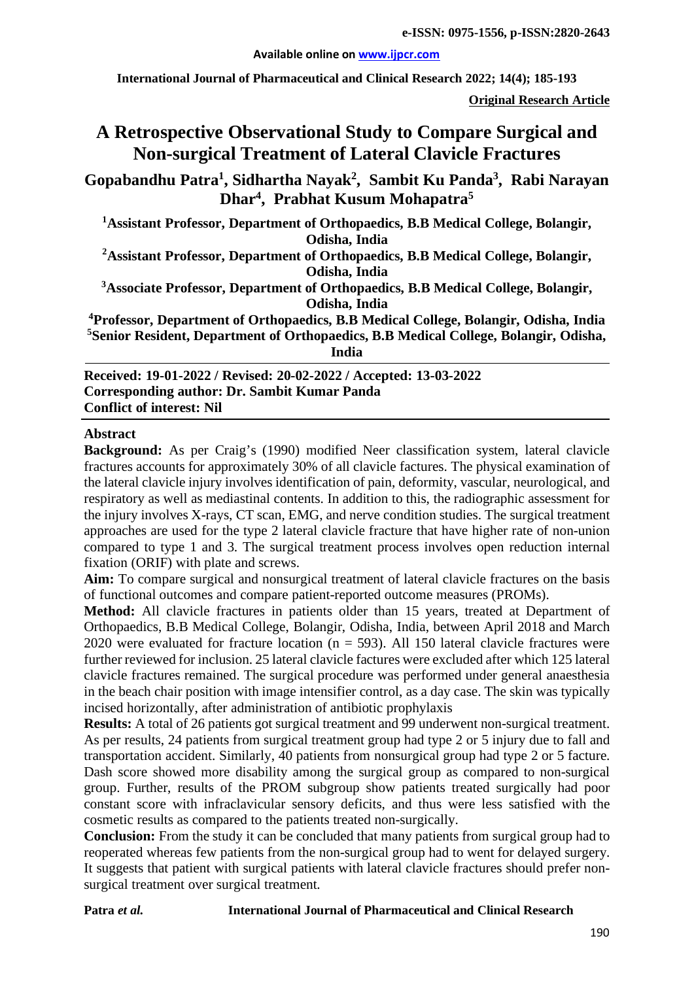#### **Available online on [www.ijpcr.com](http://www.ijpcr.com/)**

**International Journal of Pharmaceutical and Clinical Research 2022; 14(4); 185-193**

**Original Research Article**

# **A Retrospective Observational Study to Compare Surgical and Non-surgical Treatment of Lateral Clavicle Fractures**

**Gopabandhu Patra1 , Sidhartha Nayak2 , Sambit Ku Panda3 , Rabi Narayan Dhar4 , Prabhat Kusum Mohapatra5**

**1 Assistant Professor, Department of Orthopaedics, B.B Medical College, Bolangir, Odisha, India**

**2 Assistant Professor, Department of Orthopaedics, B.B Medical College, Bolangir, Odisha, India**

**3 Associate Professor, Department of Orthopaedics, B.B Medical College, Bolangir, Odisha, India**

**4 Professor, Department of Orthopaedics, B.B Medical College, Bolangir, Odisha, India 5 Senior Resident, Department of Orthopaedics, B.B Medical College, Bolangir, Odisha, India**

**Received: 19-01-2022 / Revised: 20-02-2022 / Accepted: 13-03-2022 Corresponding author: Dr. Sambit Kumar Panda Conflict of interest: Nil**

#### **Abstract**

**Background:** As per Craig's (1990) modified Neer classification system, lateral clavicle fractures accounts for approximately 30% of all clavicle factures. The physical examination of the lateral clavicle injury involves identification of pain, deformity, vascular, neurological, and respiratory as well as mediastinal contents. In addition to this, the radiographic assessment for the injury involves X-rays, CT scan, EMG, and nerve condition studies. The surgical treatment approaches are used for the type 2 lateral clavicle fracture that have higher rate of non-union compared to type 1 and 3. The surgical treatment process involves open reduction internal fixation (ORIF) with plate and screws.

**Aim:** To compare surgical and nonsurgical treatment of lateral clavicle fractures on the basis of functional outcomes and compare patient-reported outcome measures (PROMs).

**Method:** All clavicle fractures in patients older than 15 years, treated at Department of Orthopaedics, B.B Medical College, Bolangir, Odisha, India, between April 2018 and March 2020 were evaluated for fracture location (n = 593). All 150 lateral clavicle fractures were further reviewed for inclusion. 25 lateral clavicle factures were excluded after which 125 lateral clavicle fractures remained. The surgical procedure was performed under general anaesthesia in the beach chair position with image intensifier control, as a day case. The skin was typically incised horizontally, after administration of antibiotic prophylaxis

**Results:** A total of 26 patients got surgical treatment and 99 underwent non-surgical treatment. As per results, 24 patients from surgical treatment group had type 2 or 5 injury due to fall and transportation accident. Similarly, 40 patients from nonsurgical group had type 2 or 5 facture. Dash score showed more disability among the surgical group as compared to non-surgical group. Further, results of the PROM subgroup show patients treated surgically had poor constant score with infraclavicular sensory deficits, and thus were less satisfied with the cosmetic results as compared to the patients treated non-surgically.

**Conclusion:** From the study it can be concluded that many patients from surgical group had to reoperated whereas few patients from the non-surgical group had to went for delayed surgery. It suggests that patient with surgical patients with lateral clavicle fractures should prefer nonsurgical treatment over surgical treatment.

#### **Patra** *et al.* **International Journal of Pharmaceutical and Clinical Research**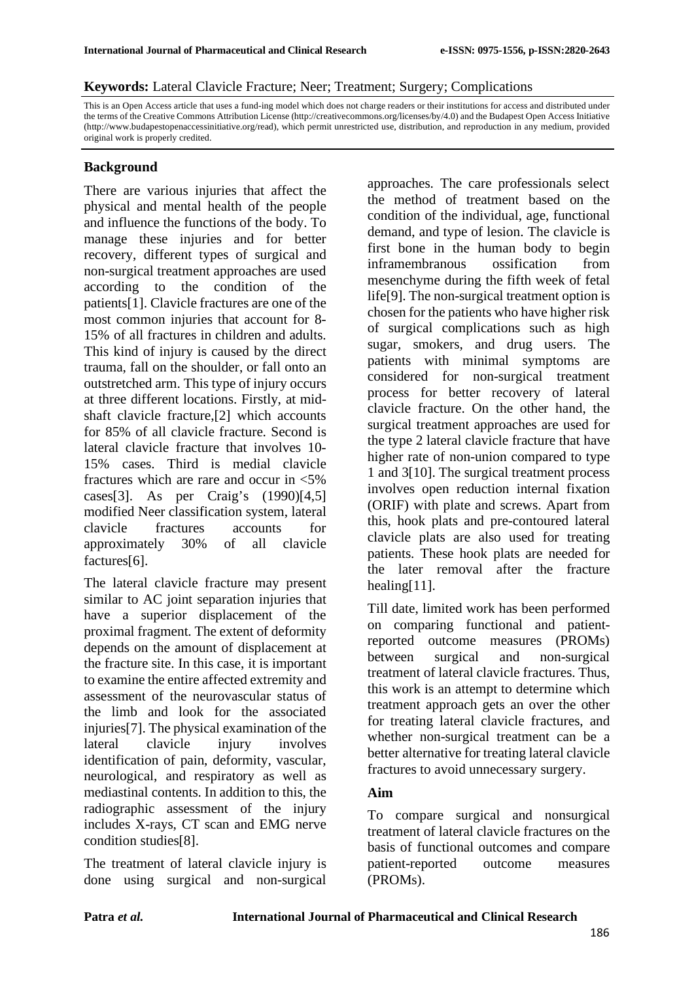#### **Keywords:** Lateral Clavicle Fracture; Neer; Treatment; Surgery; Complications

This is an Open Access article that uses a fund-ing model which does not charge readers or their institutions for access and distributed under the terms of the Creative Commons Attribution License (http://creativecommons.org/licenses/by/4.0) and the Budapest Open Access Initiative (http://www.budapestopenaccessinitiative.org/read), which permit unrestricted use, distribution, and reproduction in any medium, provided original work is properly credited.

### **Background**

There are various injuries that affect the physical and mental health of the people and influence the functions of the body. To manage these injuries and for better recovery, different types of surgical and non-surgical treatment approaches are used according to the condition of the patients[1]. Clavicle fractures are one of the most common injuries that account for 8- 15% of all fractures in children and adults. This kind of injury is caused by the direct trauma, fall on the shoulder, or fall onto an outstretched arm. This type of injury occurs at three different locations. Firstly, at midshaft clavicle fracture,[2] which accounts for 85% of all clavicle fracture. Second is lateral clavicle fracture that involves 10- 15% cases. Third is medial clavicle fractures which are rare and occur in <5% cases[3]. As per Craig's (1990)[4,5] modified Neer classification system, lateral clavicle fractures accounts for approximately 30% of all clavicle factures[6].

The lateral clavicle fracture may present similar to AC joint separation injuries that have a superior displacement of the proximal fragment. The extent of deformity depends on the amount of displacement at the fracture site. In this case, it is important to examine the entire affected extremity and assessment of the neurovascular status of the limb and look for the associated injuries[7]. The physical examination of the lateral clavicle injury involves identification of pain, deformity, vascular, neurological, and respiratory as well as mediastinal contents. In addition to this, the radiographic assessment of the injury includes X-rays, CT scan and EMG nerve condition studies[8].

The treatment of lateral clavicle injury is done using surgical and non-surgical approaches. The care professionals select the method of treatment based on the condition of the individual, age, functional demand, and type of lesion. The clavicle is first bone in the human body to begin inframembranous ossification from mesenchyme during the fifth week of fetal life[9]. The non-surgical treatment option is chosen for the patients who have higher risk of surgical complications such as high sugar, smokers, and drug users. The patients with minimal symptoms are considered for non-surgical treatment process for better recovery of lateral clavicle fracture. On the other hand, the surgical treatment approaches are used for the type 2 lateral clavicle fracture that have higher rate of non-union compared to type 1 and 3[10]. The surgical treatment process involves open reduction internal fixation (ORIF) with plate and screws. Apart from this, hook plats and pre-contoured lateral clavicle plats are also used for treating patients. These hook plats are needed for the later removal after the fracture healing[11].

Till date, limited work has been performed on comparing functional and patientreported outcome measures (PROMs) between surgical and non-surgical treatment of lateral clavicle fractures. Thus, this work is an attempt to determine which treatment approach gets an over the other for treating lateral clavicle fractures, and whether non-surgical treatment can be a better alternative for treating lateral clavicle fractures to avoid unnecessary surgery.

### **Aim**

To compare surgical and nonsurgical treatment of lateral clavicle fractures on the basis of functional outcomes and compare patient-reported outcome measures (PROMs).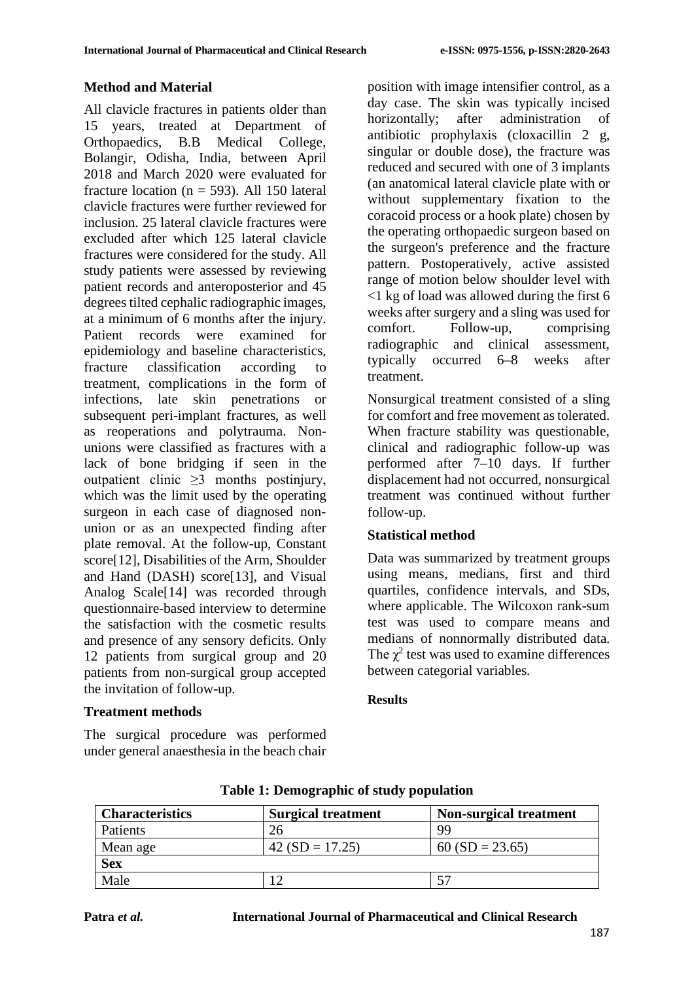### **Method and Material**

All clavicle fractures in patients older than 15 years, treated at Department of Orthopaedics, B.B Medical College, Bolangir, Odisha, India, between April 2018 and March 2020 were evaluated for fracture location ( $n = 593$ ). All 150 lateral clavicle fractures were further reviewed for inclusion. 25 lateral clavicle fractures were excluded after which 125 lateral clavicle fractures were considered for the study. All study patients were assessed by reviewing patient records and anteroposterior and 45 degrees tilted cephalic radiographic images, at a minimum of 6 months after the injury. Patient records were examined for epidemiology and baseline characteristics, fracture classification according to treatment, complications in the form of infections, late skin penetrations or subsequent peri-implant fractures, as well as reoperations and polytrauma. Nonunions were classified as fractures with a lack of bone bridging if seen in the outpatient clinic ≥3 months postinjury, which was the limit used by the operating surgeon in each case of diagnosed nonunion or as an unexpected finding after plate removal. At the follow-up, Constant score[12], Disabilities of the Arm, Shoulder and Hand (DASH) score[13], and Visual Analog Scale[14] was recorded through questionnaire-based interview to determine the satisfaction with the cosmetic results and presence of any sensory deficits. Only 12 patients from surgical group and 20 patients from non-surgical group accepted the invitation of follow-up.

### position with image intensifier control, as a day case. The skin was typically incised horizontally; after administration of antibiotic prophylaxis (cloxacillin 2 g, singular or double dose), the fracture was reduced and secured with one of 3 implants (an anatomical lateral clavicle plate with or without supplementary fixation to the coracoid process or a hook plate) chosen by the operating orthopaedic surgeon based on the surgeon's preference and the fracture pattern. Postoperatively, active assisted range of motion below shoulder level with <1 kg of load was allowed during the first 6 weeks after surgery and a sling was used for comfort. Follow-up, comprising radiographic and clinical assessment, typically occurred 6–8 weeks after treatment.

Nonsurgical treatment consisted of a sling for comfort and free movement as tolerated. When fracture stability was questionable. clinical and radiographic follow-up was performed after 7–10 days. If further displacement had not occurred, nonsurgical treatment was continued without further follow-up.

## **Statistical method**

Data was summarized by treatment groups using means, medians, first and third quartiles, confidence intervals, and SDs, where applicable. The Wilcoxon rank-sum test was used to compare means and medians of nonnormally distributed data. The  $\chi^2$  test was used to examine differences between categorial variables.

### **Results**

### **Treatment methods**

The surgical procedure was performed under general anaesthesia in the beach chair

| <b>Characteristics</b> | <b>Surgical treatment</b> | <b>Non-surgical treatment</b> |
|------------------------|---------------------------|-------------------------------|
| Patients               | 26                        | QQ                            |
| Mean age               | $42 (SD = 17.25)$         | $60(SD = 23.65)$              |
| <b>Sex</b>             |                           |                               |
| Male                   |                           |                               |

#### **Table 1: Demographic of study population**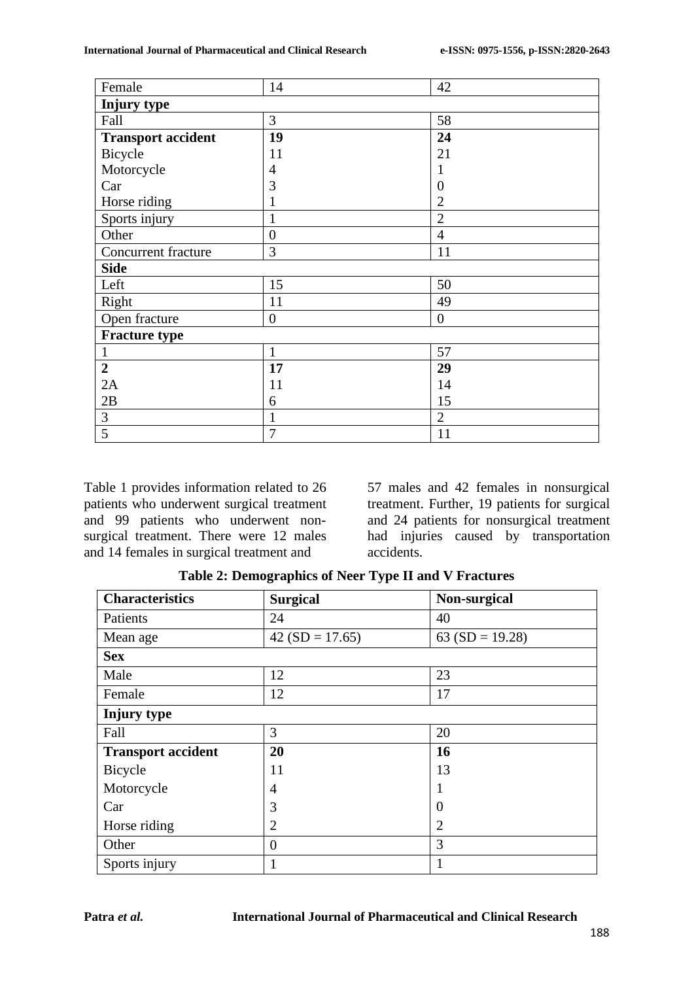| Female                    | 14               | 42             |  |  |
|---------------------------|------------------|----------------|--|--|
| Injury type               |                  |                |  |  |
| Fall                      | 3                | 58             |  |  |
| <b>Transport accident</b> | 19               | 24             |  |  |
| Bicycle                   | 11               | 21             |  |  |
| Motorcycle                | $\overline{4}$   |                |  |  |
| Car                       | 3                | $\overline{0}$ |  |  |
| Horse riding              | 1                | $\overline{2}$ |  |  |
| Sports injury             | 1                | $\overline{2}$ |  |  |
| Other                     | $\boldsymbol{0}$ | $\overline{4}$ |  |  |
| Concurrent fracture       | 3                | 11             |  |  |
| <b>Side</b>               |                  |                |  |  |
| Left                      | 15               | 50             |  |  |
| Right                     | 11               | 49             |  |  |
| Open fracture             | $\overline{0}$   | $\overline{0}$ |  |  |
| <b>Fracture type</b>      |                  |                |  |  |
| $\mathbf{1}$              | $\mathbf{1}$     | 57             |  |  |
| $\boldsymbol{2}$          | 17               | 29             |  |  |
| 2A                        | 11               | 14             |  |  |
| 2B                        | 6                | 15             |  |  |
| $\mathfrak{Z}$            | $\mathbf{1}$     | $\overline{2}$ |  |  |
| 5                         | $\overline{7}$   | 11             |  |  |

Table 1 provides information related to 26 patients who underwent surgical treatment and 99 patients who underwent nonsurgical treatment. There were 12 males and 14 females in surgical treatment and

57 males and 42 females in nonsurgical treatment. Further, 19 patients for surgical and 24 patients for nonsurgical treatment had injuries caused by transportation accidents.

**Table 2: Demographics of Neer Type II and V Fractures**

| <b>Characteristics</b>    | <b>Surgical</b>  | Non-surgical    |
|---------------------------|------------------|-----------------|
| Patients                  | 24               | 40              |
| Mean age                  | $42(SD = 17.65)$ | 63 (SD = 19.28) |
| <b>Sex</b>                |                  |                 |
| Male                      | 12               | 23              |
| Female                    | 12               | 17              |
| Injury type               |                  |                 |
| Fall                      | 3                | 20              |
| <b>Transport accident</b> | 20               | 16              |
| Bicycle                   | 11               | 13              |
| Motorcycle                | $\overline{4}$   |                 |
| Car                       | 3                | $\theta$        |
| Horse riding              | $\overline{2}$   | $\overline{2}$  |
| Other                     | $\overline{0}$   | 3               |
| Sports injury             | 1                | 1               |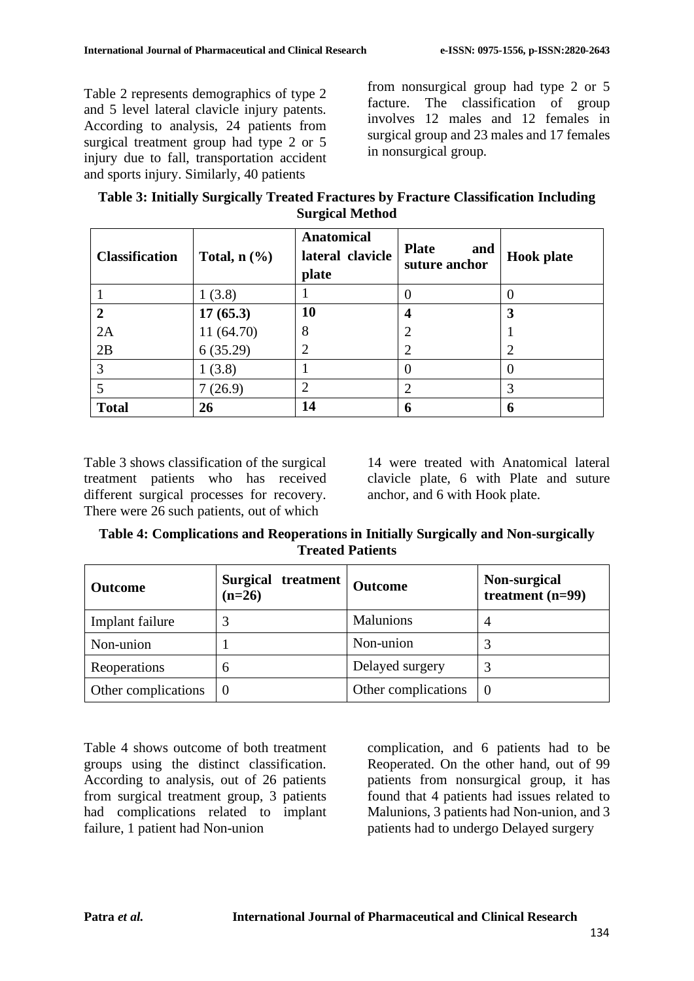Table 2 represents demographics of type 2 and 5 level lateral clavicle injury patents. According to analysis, 24 patients from surgical treatment group had type 2 or 5 injury due to fall, transportation accident and sports injury. Similarly, 40 patients

from nonsurgical group had type 2 or 5 facture. The classification of group involves 12 males and 12 females in surgical group and 23 males and 17 females in nonsurgical group.

| Table 3: Initially Surgically Treated Fractures by Fracture Classification Including |                        |  |
|--------------------------------------------------------------------------------------|------------------------|--|
|                                                                                      | <b>Surgical Method</b> |  |

| <b>Classification</b> | Total, $n$ $(\%)$ | <b>Anatomical</b><br>lateral clavicle<br>plate | <b>Plate</b><br>and<br>suture anchor | <b>Hook</b> plate |
|-----------------------|-------------------|------------------------------------------------|--------------------------------------|-------------------|
|                       | 1(3.8)            |                                                |                                      |                   |
| $\overline{2}$        | 17(65.3)          | 10                                             | 4                                    |                   |
| 2A                    | 11 (64.70)        | 8                                              | 2                                    |                   |
| 2B                    | 6(35.29)          | 2                                              | 2                                    |                   |
| 3                     | 1(3.8)            |                                                | 0                                    |                   |
|                       | 7(26.9)           | 2                                              | $\mathcal{D}_{\mathcal{A}}$          |                   |
| <b>Total</b>          | 26                | 14                                             | 6                                    | 6                 |

Table 3 shows classification of the surgical treatment patients who has received different surgical processes for recovery. There were 26 such patients, out of which

14 were treated with Anatomical lateral clavicle plate, 6 with Plate and suture anchor, and 6 with Hook plate.

**Table 4: Complications and Reoperations in Initially Surgically and Non-surgically Treated Patients**

| <b>Outcome</b>      | Surgical treatment<br>$(n=26)$ | <b>Outcome</b>      | Non-surgical<br>treatment $(n=99)$ |
|---------------------|--------------------------------|---------------------|------------------------------------|
| Implant failure     |                                | <b>Malunions</b>    | 4                                  |
| Non-union           |                                | Non-union           |                                    |
| Reoperations        | 6                              | Delayed surgery     |                                    |
| Other complications | $\theta$                       | Other complications | $\Omega$                           |

Table 4 shows outcome of both treatment groups using the distinct classification. According to analysis, out of 26 patients from surgical treatment group, 3 patients had complications related to implant failure, 1 patient had Non-union

complication, and 6 patients had to be Reoperated. On the other hand, out of 99 patients from nonsurgical group, it has found that 4 patients had issues related to Malunions, 3 patients had Non-union, and 3 patients had to undergo Delayed surgery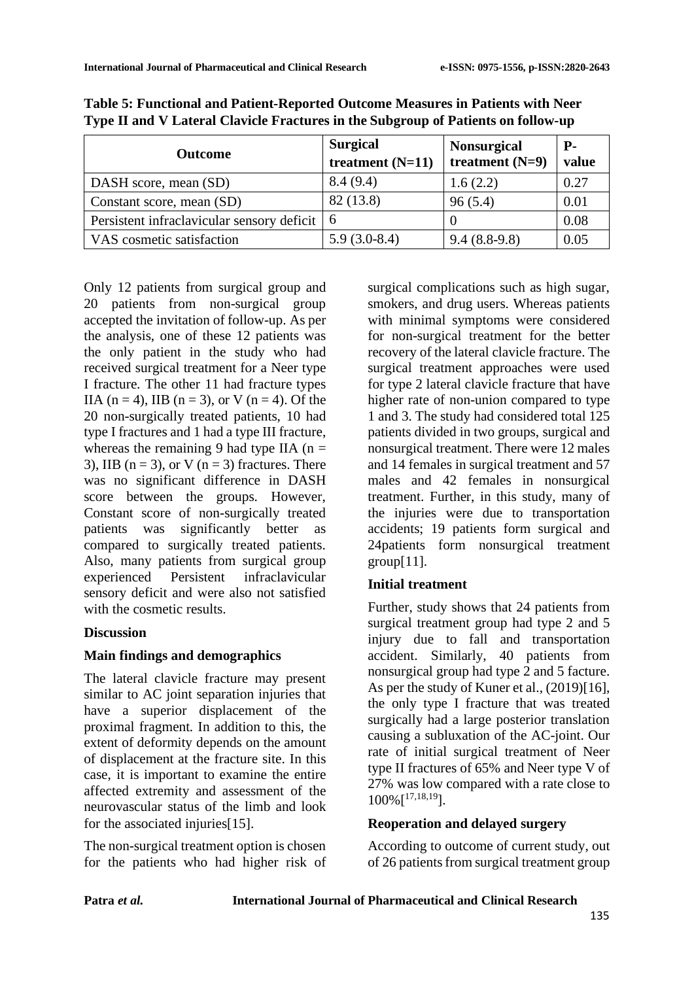| <b>Outcome</b>                                 | <b>Surgical</b><br>treatment $(N=11)$ | <b>Nonsurgical</b><br>treatment $(N=9)$ | <b>P</b> -<br>value |
|------------------------------------------------|---------------------------------------|-----------------------------------------|---------------------|
| DASH score, mean (SD)                          | 8.4(9.4)                              | 1.6(2.2)                                | 0.27                |
| Constant score, mean (SD)                      | 82 (13.8)                             | 96(5.4)                                 | 0.01                |
| Persistent infractavicular sensory deficit   6 |                                       |                                         | 0.08                |
| VAS cosmetic satisfaction                      | $5.9(3.0-8.4)$                        | $9.4(8.8-9.8)$                          | 0.05                |

**Table 5: Functional and Patient-Reported Outcome Measures in Patients with Neer Type II and V Lateral Clavicle Fractures in the Subgroup of Patients on follow-up**

Only 12 patients from surgical group and 20 patients from non-surgical group accepted the invitation of follow-up. As per the analysis, one of these 12 patients was the only patient in the study who had received surgical treatment for a Neer type I fracture. The other 11 had fracture types IIA ( $n = 4$ ), IIB ( $n = 3$ ), or V ( $n = 4$ ). Of the 20 non-surgically treated patients, 10 had type I fractures and 1 had a type III fracture, whereas the remaining 9 had type IIA ( $n =$ 3), IIB ( $n = 3$ ), or V ( $n = 3$ ) fractures. There was no significant difference in DASH score between the groups. However, Constant score of non-surgically treated patients was significantly better as compared to surgically treated patients. Also, many patients from surgical group experienced Persistent infraclavicular sensory deficit and were also not satisfied with the cosmetic results.

## **Discussion**

### **Main findings and demographics**

The lateral clavicle fracture may present similar to AC joint separation injuries that have a superior displacement of the proximal fragment. In addition to this, the extent of deformity depends on the amount of displacement at the fracture site. In this case, it is important to examine the entire affected extremity and assessment of the neurovascular status of the limb and look for the associated injuries[15].

The non-surgical treatment option is chosen for the patients who had higher risk of surgical complications such as high sugar, smokers, and drug users. Whereas patients with minimal symptoms were considered for non-surgical treatment for the better recovery of the lateral clavicle fracture. The surgical treatment approaches were used for type 2 lateral clavicle fracture that have higher rate of non-union compared to type 1 and 3. The study had considered total 125 patients divided in two groups, surgical and nonsurgical treatment. There were 12 males and 14 females in surgical treatment and 57 males and 42 females in nonsurgical treatment. Further, in this study, many of the injuries were due to transportation accidents; 19 patients form surgical and 24patients form nonsurgical treatment  $group[11]$ .

## **Initial treatment**

Further, study shows that 24 patients from surgical treatment group had type 2 and 5 injury due to fall and transportation accident. Similarly, 40 patients from nonsurgical group had type 2 and 5 facture. As per the study of Kuner et al., (2019)[16], the only type I fracture that was treated surgically had a large posterior translation causing a subluxation of the AC-joint. Our rate of initial surgical treatment of Neer type II fractures of 65% and Neer type V of 27% was low compared with a rate close to  $100\%$ <sup>[17,18,19</sup>].

## **Reoperation and delayed surgery**

According to outcome of current study, out of 26 patients from surgical treatment group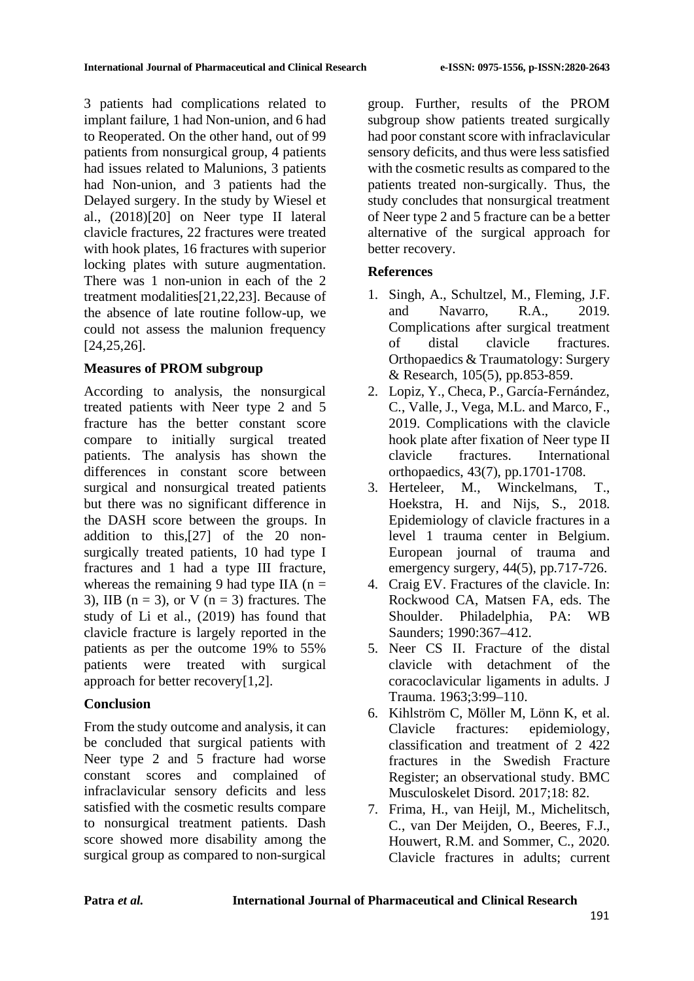3 patients had complications related to implant failure, 1 had Non-union, and 6 had to Reoperated. On the other hand, out of 99 patients from nonsurgical group, 4 patients had issues related to Malunions, 3 patients had Non-union, and 3 patients had the Delayed surgery. In the study by Wiesel et al., (2018)[20] on Neer type II lateral clavicle fractures, 22 fractures were treated with hook plates, 16 fractures with superior locking plates with suture augmentation. There was 1 non-union in each of the 2 treatment modalities[21,22,23]. Because of the absence of late routine follow-up, we could not assess the malunion frequency [24,25,26].

### **Measures of PROM subgroup**

According to analysis, the nonsurgical treated patients with Neer type 2 and 5 fracture has the better constant score compare to initially surgical treated patients. The analysis has shown the differences in constant score between surgical and nonsurgical treated patients but there was no significant difference in the DASH score between the groups. In addition to this,[27] of the 20 nonsurgically treated patients, 10 had type I fractures and 1 had a type III fracture, whereas the remaining 9 had type IIA ( $n =$ 3), IIB ( $n = 3$ ), or V ( $n = 3$ ) fractures. The study of Li et al., (2019) has found that clavicle fracture is largely reported in the patients as per the outcome 19% to 55% patients were treated with surgical approach for better recovery[1,2].

### **Conclusion**

From the study outcome and analysis, it can be concluded that surgical patients with Neer type 2 and 5 fracture had worse constant scores and complained of infraclavicular sensory deficits and less satisfied with the cosmetic results compare to nonsurgical treatment patients. Dash score showed more disability among the surgical group as compared to non-surgical

group. Further, results of the PROM subgroup show patients treated surgically had poor constant score with infraclavicular sensory deficits, and thus were less satisfied with the cosmetic results as compared to the patients treated non-surgically. Thus, the study concludes that nonsurgical treatment of Neer type 2 and 5 fracture can be a better alternative of the surgical approach for better recovery.

### **References**

- 1. Singh, A., Schultzel, M., Fleming, J.F. and Navarro, R.A., 2019. Complications after surgical treatment of distal clavicle fractures. Orthopaedics & Traumatology: Surgery & Research, 105(5), pp.853-859.
- 2. Lopiz, Y., Checa, P., García-Fernández, C., Valle, J., Vega, M.L. and Marco, F., 2019. Complications with the clavicle hook plate after fixation of Neer type II clavicle fractures. International orthopaedics, 43(7), pp.1701-1708.
- 3. Herteleer, M., Winckelmans, T., Hoekstra, H. and Nijs, S., 2018. Epidemiology of clavicle fractures in a level 1 trauma center in Belgium. European journal of trauma and emergency surgery,  $44(5)$ , pp.717-726.
- 4. Craig EV. Fractures of the clavicle. In: Rockwood CA, Matsen FA, eds. The Shoulder. Philadelphia, PA: WB Saunders; 1990:367–412.
- 5. Neer CS II. Fracture of the distal clavicle with detachment of the coracoclavicular ligaments in adults. J Trauma. 1963;3:99–110.
- 6. Kihlström C, Möller M, Lönn K, et al. Clavicle fractures: epidemiology, classification and treatment of 2 422 fractures in the Swedish Fracture Register; an observational study. BMC Musculoskelet Disord. 2017;18: 82.
- 7. Frima, H., van Heijl, M., Michelitsch, C., van Der Meijden, O., Beeres, F.J., Houwert, R.M. and Sommer, C., 2020. Clavicle fractures in adults; current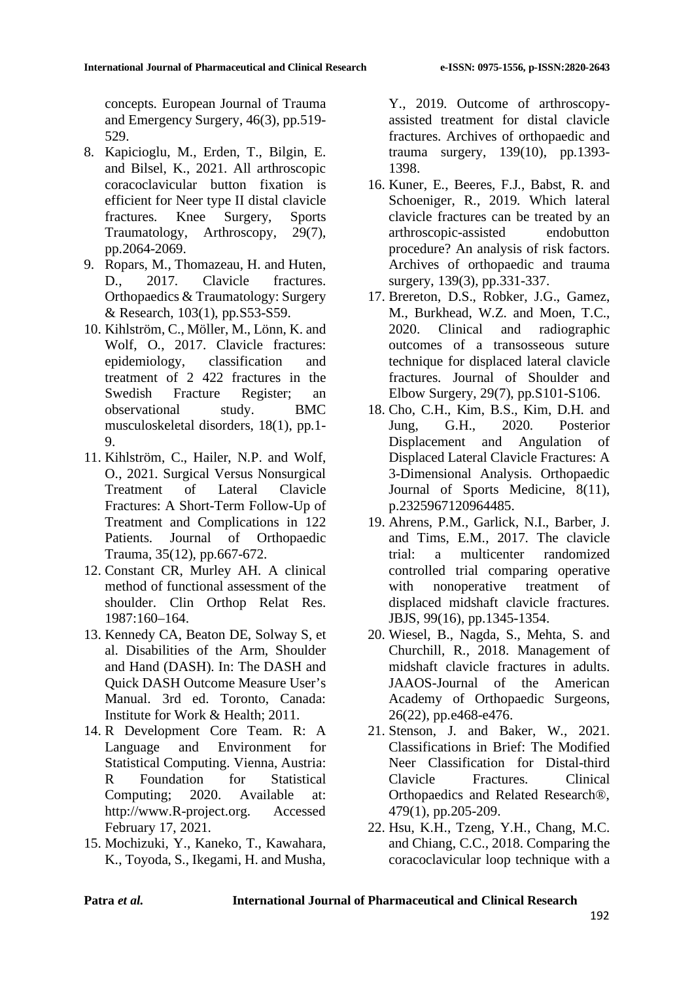concepts. European Journal of Trauma and Emergency Surgery, 46(3), pp.519- 529.

- 8. Kapicioglu, M., Erden, T., Bilgin, E. and Bilsel, K., 2021. All arthroscopic coracoclavicular button fixation is efficient for Neer type II distal clavicle fractures. Knee Surgery, Sports Traumatology, Arthroscopy, 29(7), pp.2064-2069.
- 9. Ropars, M., Thomazeau, H. and Huten, D., 2017. Clavicle fractures. Orthopaedics & Traumatology: Surgery & Research, 103(1), pp.S53-S59.
- 10. Kihlström, C., Möller, M., Lönn, K. and Wolf, O., 2017. Clavicle fractures: epidemiology, classification and treatment of 2 422 fractures in the Swedish Fracture Register; an observational study. BMC musculoskeletal disorders, 18(1), pp.1- 9.
- 11. Kihlström, C., Hailer, N.P. and Wolf, O., 2021. Surgical Versus Nonsurgical Treatment of Lateral Clavicle Fractures: A Short-Term Follow-Up of Treatment and Complications in 122 Patients. Journal of Orthopaedic Trauma, 35(12), pp.667-672.
- 12. Constant CR, Murley AH. A clinical method of functional assessment of the shoulder. Clin Orthop Relat Res. 1987:160–164.
- 13. Kennedy CA, Beaton DE, Solway S, et al. Disabilities of the Arm, Shoulder and Hand (DASH). In: The DASH and Quick DASH Outcome Measure User's Manual. 3rd ed. Toronto, Canada: Institute for Work & Health; 2011.
- 14. R Development Core Team. R: A Language and Environment for Statistical Computing. Vienna, Austria: R Foundation for Statistical Computing; 2020. Available at: http://www.R-project.org. Accessed February 17, 2021.
- 15. Mochizuki, Y., Kaneko, T., Kawahara, K., Toyoda, S., Ikegami, H. and Musha,

Y., 2019. Outcome of arthroscopyassisted treatment for distal clavicle fractures. Archives of orthopaedic and trauma surgery, 139(10), pp.1393- 1398.

- 16. Kuner, E., Beeres, F.J., Babst, R. and Schoeniger, R., 2019. Which lateral clavicle fractures can be treated by an arthroscopic-assisted endobutton procedure? An analysis of risk factors. Archives of orthopaedic and trauma surgery, 139(3), pp.331-337.
- 17. Brereton, D.S., Robker, J.G., Gamez, M., Burkhead, W.Z. and Moen, T.C., 2020. Clinical and radiographic outcomes of a transosseous suture technique for displaced lateral clavicle fractures. Journal of Shoulder and Elbow Surgery, 29(7), pp.S101-S106.
- 18. Cho, C.H., Kim, B.S., Kim, D.H. and Jung, G.H., 2020. Posterior Displacement and Angulation of Displaced Lateral Clavicle Fractures: A 3-Dimensional Analysis. Orthopaedic Journal of Sports Medicine, 8(11), p.2325967120964485.
- 19. Ahrens, P.M., Garlick, N.I., Barber, J. and Tims, E.M., 2017. The clavicle trial: a multicenter randomized controlled trial comparing operative with nonoperative treatment of displaced midshaft clavicle fractures. JBJS, 99(16), pp.1345-1354.
- 20. Wiesel, B., Nagda, S., Mehta, S. and Churchill, R., 2018. Management of midshaft clavicle fractures in adults. JAAOS-Journal of the American Academy of Orthopaedic Surgeons, 26(22), pp.e468-e476.
- 21. Stenson, J. and Baker, W., 2021. Classifications in Brief: The Modified Neer Classification for Distal-third Clavicle Fractures. Clinical Orthopaedics and Related Research®, 479(1), pp.205-209.
- 22. Hsu, K.H., Tzeng, Y.H., Chang, M.C. and Chiang, C.C., 2018. Comparing the coracoclavicular loop technique with a